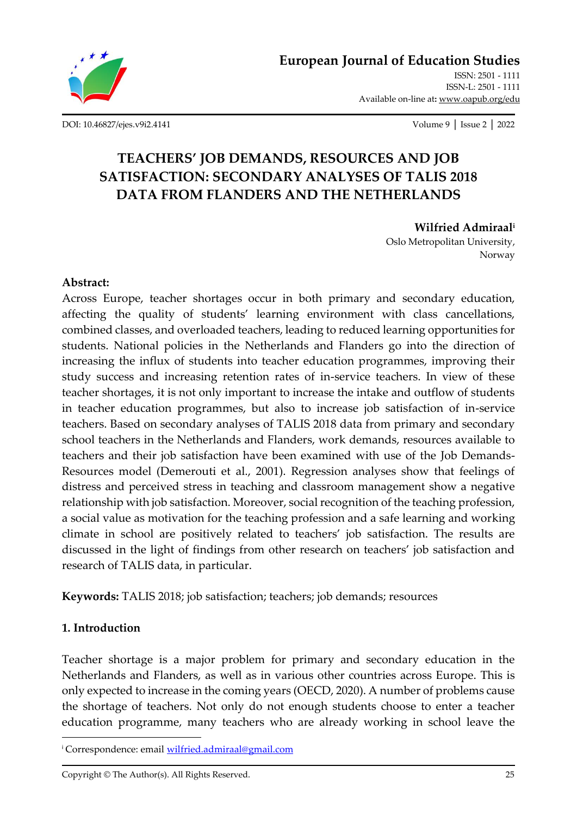

[DOI: 10.46827/ejes.v9i2.4141](http://dx.doi.org/10.46827/ejes.v9i2.4141) Volume 9 │ Issue 2 │ 2022

Available on-line at**:** [www.oapub.org/edu](http://www.oapub.org/edu)

# **TEACHERS' JOB DEMANDS, RESOURCES AND JOB SATISFACTION: SECONDARY ANALYSES OF TALIS 2018 DATA FROM FLANDERS AND THE NETHERLANDS**

**Wilfried Admiraal<sup>i</sup>** Oslo Metropolitan University, Norway

### **Abstract:**

Across Europe, teacher shortages occur in both primary and secondary education, affecting the quality of students' learning environment with class cancellations, combined classes, and overloaded teachers, leading to reduced learning opportunities for students. National policies in the Netherlands and Flanders go into the direction of increasing the influx of students into teacher education programmes, improving their study success and increasing retention rates of in-service teachers. In view of these teacher shortages, it is not only important to increase the intake and outflow of students in teacher education programmes, but also to increase job satisfaction of in-service teachers. Based on secondary analyses of TALIS 2018 data from primary and secondary school teachers in the Netherlands and Flanders, work demands, resources available to teachers and their job satisfaction have been examined with use of the Job Demands-Resources model (Demerouti et al., 2001). Regression analyses show that feelings of distress and perceived stress in teaching and classroom management show a negative relationship with job satisfaction. Moreover, social recognition of the teaching profession, a social value as motivation for the teaching profession and a safe learning and working climate in school are positively related to teachers' job satisfaction. The results are discussed in the light of findings from other research on teachers' job satisfaction and research of TALIS data, in particular.

**Keywords:** TALIS 2018; job satisfaction; teachers; job demands; resources

### **1. Introduction**

Teacher shortage is a major problem for primary and secondary education in the Netherlands and Flanders, as well as in various other countries across Europe. This is only expected to increase in the coming years (OECD, 2020). A number of problems cause the shortage of teachers. Not only do not enough students choose to enter a teacher education programme, many teachers who are already working in school leave the

<sup>i</sup> Correspondence: email [wilfried.admiraal@gmail.com](mailto:wilfried.admiraal@gmail.com)

Copyright © The Author(s). All Rights Reserved. 25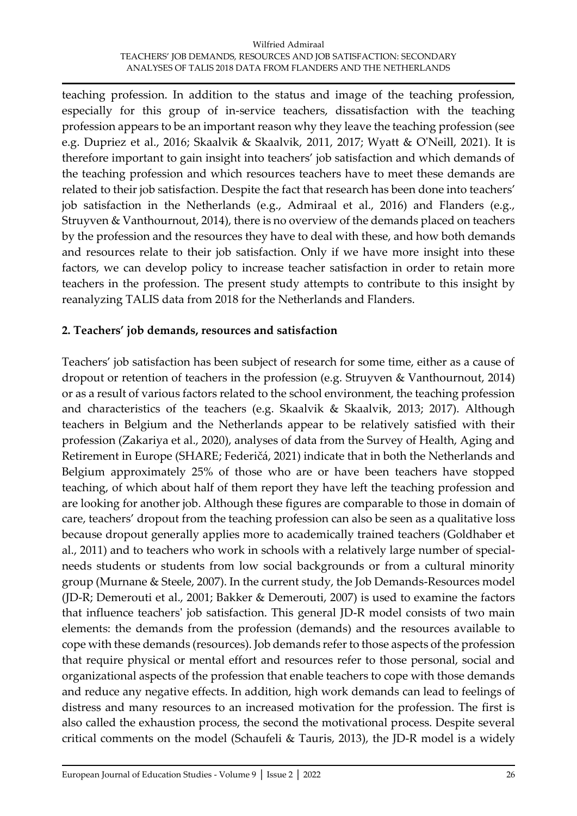teaching profession. In addition to the status and image of the teaching profession, especially for this group of in-service teachers, dissatisfaction with the teaching profession appears to be an important reason why they leave the teaching profession (see e.g. Dupriez et al., 2016; Skaalvik & Skaalvik, 2011, 2017; Wyatt & O'Neill, 2021). It is therefore important to gain insight into teachers' job satisfaction and which demands of the teaching profession and which resources teachers have to meet these demands are related to their job satisfaction. Despite the fact that research has been done into teachers' job satisfaction in the Netherlands (e.g., Admiraal et al., 2016) and Flanders (e.g., Struyven & Vanthournout, 2014), there is no overview of the demands placed on teachers by the profession and the resources they have to deal with these, and how both demands and resources relate to their job satisfaction. Only if we have more insight into these factors, we can develop policy to increase teacher satisfaction in order to retain more teachers in the profession. The present study attempts to contribute to this insight by reanalyzing TALIS data from 2018 for the Netherlands and Flanders.

### **2. Teachers' job demands, resources and satisfaction**

Teachers' job satisfaction has been subject of research for some time, either as a cause of dropout or retention of teachers in the profession (e.g. Struyven & Vanthournout, 2014) or as a result of various factors related to the school environment, the teaching profession and characteristics of the teachers (e.g. Skaalvik & Skaalvik, 2013; 2017). Although teachers in Belgium and the Netherlands appear to be relatively satisfied with their profession (Zakariya et al., 2020), analyses of data from the Survey of Health, Aging and Retirement in Europe (SHARE; Federičá, 2021) indicate that in both the Netherlands and Belgium approximately 25% of those who are or have been teachers have stopped teaching, of which about half of them report they have left the teaching profession and are looking for another job. Although these figures are comparable to those in domain of care, teachers' dropout from the teaching profession can also be seen as a qualitative loss because dropout generally applies more to academically trained teachers (Goldhaber et al., 2011) and to teachers who work in schools with a relatively large number of specialneeds students or students from low social backgrounds or from a cultural minority group (Murnane & Steele, 2007). In the current study, the Job Demands-Resources model (JD-R; Demerouti et al., 2001; Bakker & Demerouti, 2007) is used to examine the factors that influence teachers' job satisfaction. This general JD-R model consists of two main elements: the demands from the profession (demands) and the resources available to cope with these demands (resources). Job demands refer to those aspects of the profession that require physical or mental effort and resources refer to those personal, social and organizational aspects of the profession that enable teachers to cope with those demands and reduce any negative effects. In addition, high work demands can lead to feelings of distress and many resources to an increased motivation for the profession. The first is also called the exhaustion process, the second the motivational process. Despite several critical comments on the model (Schaufeli & Tauris, 2013), the JD-R model is a widely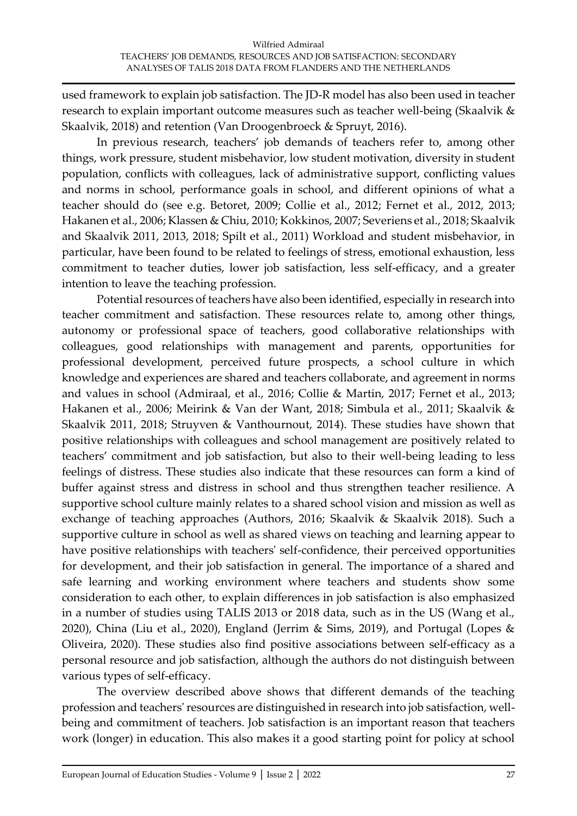used framework to explain job satisfaction. The JD-R model has also been used in teacher research to explain important outcome measures such as teacher well-being (Skaalvik & Skaalvik, 2018) and retention (Van Droogenbroeck & Spruyt, 2016).

In previous research, teachers' job demands of teachers refer to, among other things, work pressure, student misbehavior, low student motivation, diversity in student population, conflicts with colleagues, lack of administrative support, conflicting values and norms in school, performance goals in school, and different opinions of what a teacher should do (see e.g. Betoret, 2009; Collie et al., 2012; Fernet et al., 2012, 2013; Hakanen et al., 2006; Klassen & Chiu, 2010; Kokkinos, 2007; Severiens et al., 2018; Skaalvik and Skaalvik 2011, 2013, 2018; Spilt et al., 2011) Workload and student misbehavior, in particular, have been found to be related to feelings of stress, emotional exhaustion, less commitment to teacher duties, lower job satisfaction, less self-efficacy, and a greater intention to leave the teaching profession.

Potential resources of teachers have also been identified, especially in research into teacher commitment and satisfaction. These resources relate to, among other things, autonomy or professional space of teachers, good collaborative relationships with colleagues, good relationships with management and parents, opportunities for professional development, perceived future prospects, a school culture in which knowledge and experiences are shared and teachers collaborate, and agreement in norms and values in school (Admiraal, et al., 2016; Collie & Martin, 2017; Fernet et al., 2013; Hakanen et al., 2006; Meirink & Van der Want, 2018; Simbula et al., 2011; Skaalvik & Skaalvik 2011, 2018; Struyven & Vanthournout, 2014). These studies have shown that positive relationships with colleagues and school management are positively related to teachers' commitment and job satisfaction, but also to their well-being leading to less feelings of distress. These studies also indicate that these resources can form a kind of buffer against stress and distress in school and thus strengthen teacher resilience. A supportive school culture mainly relates to a shared school vision and mission as well as exchange of teaching approaches (Authors, 2016; Skaalvik & Skaalvik 2018). Such a supportive culture in school as well as shared views on teaching and learning appear to have positive relationships with teachers' self-confidence, their perceived opportunities for development, and their job satisfaction in general. The importance of a shared and safe learning and working environment where teachers and students show some consideration to each other, to explain differences in job satisfaction is also emphasized in a number of studies using TALIS 2013 or 2018 data, such as in the US (Wang et al., 2020), China (Liu et al., 2020), England (Jerrim & Sims, 2019), and Portugal (Lopes & Oliveira, 2020). These studies also find positive associations between self-efficacy as a personal resource and job satisfaction, although the authors do not distinguish between various types of self-efficacy.

The overview described above shows that different demands of the teaching profession and teachers' resources are distinguished in research into job satisfaction, wellbeing and commitment of teachers. Job satisfaction is an important reason that teachers work (longer) in education. This also makes it a good starting point for policy at school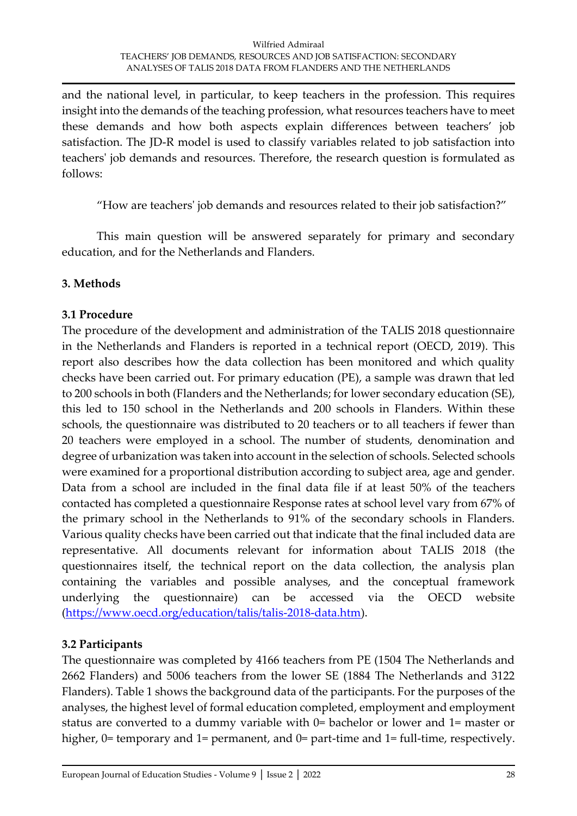and the national level, in particular, to keep teachers in the profession. This requires insight into the demands of the teaching profession, what resources teachers have to meet these demands and how both aspects explain differences between teachers' job satisfaction. The JD-R model is used to classify variables related to job satisfaction into teachers' job demands and resources. Therefore, the research question is formulated as follows:

"How are teachers' job demands and resources related to their job satisfaction?"

This main question will be answered separately for primary and secondary education, and for the Netherlands and Flanders.

## **3. Methods**

### **3.1 Procedure**

The procedure of the development and administration of the TALIS 2018 questionnaire in the Netherlands and Flanders is reported in a technical report (OECD, 2019). This report also describes how the data collection has been monitored and which quality checks have been carried out. For primary education (PE), a sample was drawn that led to 200 schools in both (Flanders and the Netherlands; for lower secondary education (SE), this led to 150 school in the Netherlands and 200 schools in Flanders. Within these schools, the questionnaire was distributed to 20 teachers or to all teachers if fewer than 20 teachers were employed in a school. The number of students, denomination and degree of urbanization was taken into account in the selection of schools. Selected schools were examined for a proportional distribution according to subject area, age and gender. Data from a school are included in the final data file if at least 50% of the teachers contacted has completed a questionnaire Response rates at school level vary from 67% of the primary school in the Netherlands to 91% of the secondary schools in Flanders. Various quality checks have been carried out that indicate that the final included data are representative. All documents relevant for information about TALIS 2018 (the questionnaires itself, the technical report on the data collection, the analysis plan containing the variables and possible analyses, and the conceptual framework underlying the questionnaire) can be accessed via the OECD website [\(https://www.oecd.org/education/talis/talis-2018-data.htm\)](https://www.oecd.org/education/talis/talis-2018-data.htm).

## **3.2 Participants**

The questionnaire was completed by 4166 teachers from PE (1504 The Netherlands and 2662 Flanders) and 5006 teachers from the lower SE (1884 The Netherlands and 3122 Flanders). Table 1 shows the background data of the participants. For the purposes of the analyses, the highest level of formal education completed, employment and employment status are converted to a dummy variable with 0= bachelor or lower and 1= master or higher, 0= temporary and 1= permanent, and 0= part-time and 1= full-time, respectively.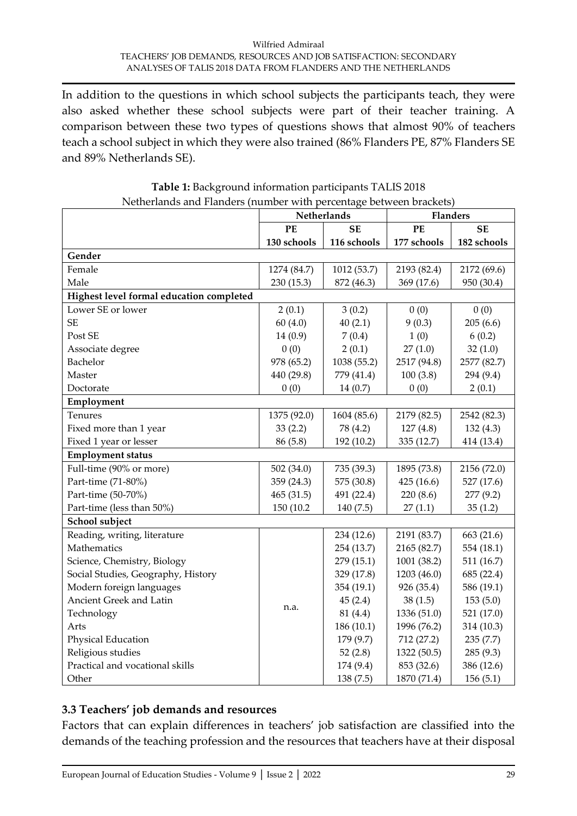In addition to the questions in which school subjects the participants teach, they were also asked whether these school subjects were part of their teacher training. A comparison between these two types of questions shows that almost 90% of teachers teach a school subject in which they were also trained (86% Flanders PE, 87% Flanders SE and 89% Netherlands SE).

|                                          |              | Netherlands | <b>Flanders</b> |             |  |
|------------------------------------------|--------------|-------------|-----------------|-------------|--|
|                                          | PE           | <b>SE</b>   | <b>PE</b>       | <b>SE</b>   |  |
|                                          | 130 schools  | 116 schools | 177 schools     | 182 schools |  |
| Gender                                   |              |             |                 |             |  |
| Female                                   | 1274 (84.7)  | 1012 (53.7) | 2193 (82.4)     | 2172 (69.6) |  |
| Male                                     | 230 (15.3)   | 872 (46.3)  | 369 (17.6)      | 950 (30.4)  |  |
| Highest level formal education completed |              |             |                 |             |  |
| Lower SE or lower                        | 2(0.1)       | 3(0.2)      | 0(0)            | 0(0)        |  |
| <b>SE</b>                                | 60(4.0)      | 40(2.1)     | 9(0.3)          | 205(6.6)    |  |
| Post SE                                  | 14(0.9)      | 7(0.4)      | 1(0)            | 6(0.2)      |  |
| Associate degree                         | 0(0)         | 2(0.1)      | 27(1.0)         | 32(1.0)     |  |
| Bachelor                                 | 978 (65.2)   | 1038 (55.2) | 2517 (94.8)     | 2577 (82.7) |  |
| Master                                   | 440 (29.8)   | 779 (41.4)  | 100(3.8)        | 294 (9.4)   |  |
| Doctorate                                | 0(0)         | 14(0.7)     | 0(0)            | 2(0.1)      |  |
| Employment                               |              |             |                 |             |  |
| Tenures                                  | 1375 (92.0)  | 1604 (85.6) | 2179 (82.5)     | 2542 (82.3) |  |
| Fixed more than 1 year                   | 33(2.2)      | 78 (4.2)    | 127(4.8)        | 132(4.3)    |  |
| Fixed 1 year or lesser                   | 86 (5.8)     | 192 (10.2)  | 335 (12.7)      | 414 (13.4)  |  |
| <b>Employment status</b>                 |              |             |                 |             |  |
| Full-time (90% or more)                  | 502 $(34.0)$ | 735 (39.3)  | 1895 (73.8)     | 2156 (72.0) |  |
| Part-time (71-80%)                       | 359 (24.3)   | 575 (30.8)  | 425(16.6)       | 527 (17.6)  |  |
| Part-time (50-70%)                       | 465(31.5)    | 491 (22.4)  | 220(8.6)        | 277 (9.2)   |  |
| Part-time (less than 50%)                | 150 (10.2)   | 140 (7.5)   | 27(1.1)         | 35(1.2)     |  |
| School subject                           |              |             |                 |             |  |
| Reading, writing, literature             |              | 234 (12.6)  | 2191 (83.7)     | 663 (21.6)  |  |
| Mathematics                              |              | 254 (13.7)  | 2165 (82.7)     | 554 (18.1)  |  |
| Science, Chemistry, Biology              |              | 279 (15.1)  | 1001 (38.2)     | 511 (16.7)  |  |
| Social Studies, Geography, History       |              | 329 (17.8)  | 1203 (46.0)     | 685 (22.4)  |  |
| Modern foreign languages                 |              | 354 (19.1)  | 926 (35.4)      | 586 (19.1)  |  |
| Ancient Greek and Latin                  |              | 45(2.4)     | 38(1.5)         | 153(5.0)    |  |
| Technology                               | n.a.         | 81 (4.4)    | 1336 (51.0)     | 521 (17.0)  |  |
| Arts                                     |              | 186 (10.1)  | 1996 (76.2)     | 314 (10.3)  |  |
| Physical Education                       |              | 179 (9.7)   | 712 (27.2)      | 235(7.7)    |  |
| Religious studies                        |              | 52 $(2.8)$  | 1322 (50.5)     | 285 (9.3)   |  |
| Practical and vocational skills          |              | 174 (9.4)   | 853 (32.6)      | 386 (12.6)  |  |
| Other                                    |              | 138 (7.5)   | 1870 (71.4)     | 156(5.1)    |  |

| Table 1: Background information participants TALIS 2018            |  |
|--------------------------------------------------------------------|--|
| Netherlands and Flanders (number with percentage between brackets) |  |

## **3.3 Teachers' job demands and resources**

Factors that can explain differences in teachers' job satisfaction are classified into the demands of the teaching profession and the resources that teachers have at their disposal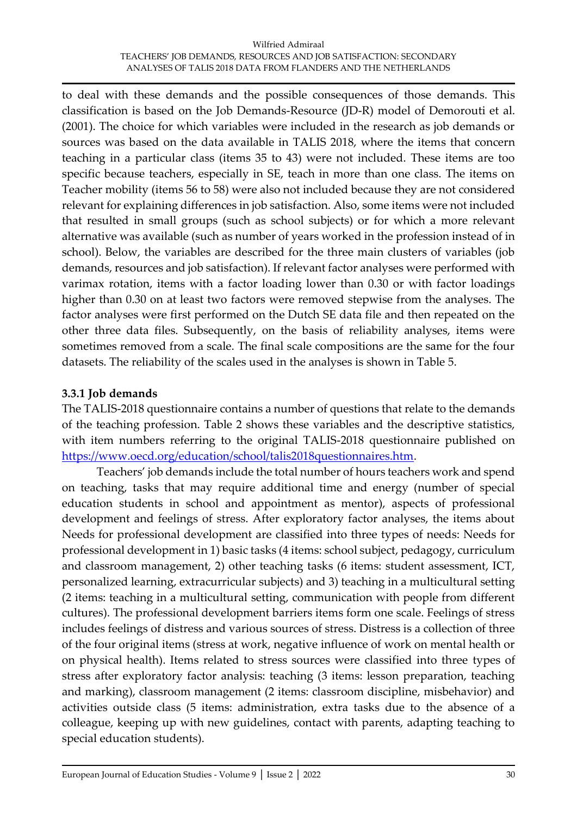to deal with these demands and the possible consequences of those demands. This classification is based on the Job Demands-Resource (JD-R) model of Demorouti et al. (2001). The choice for which variables were included in the research as job demands or sources was based on the data available in TALIS 2018, where the items that concern teaching in a particular class (items 35 to 43) were not included. These items are too specific because teachers, especially in SE, teach in more than one class. The items on Teacher mobility (items 56 to 58) were also not included because they are not considered relevant for explaining differences in job satisfaction. Also, some items were not included that resulted in small groups (such as school subjects) or for which a more relevant alternative was available (such as number of years worked in the profession instead of in school). Below, the variables are described for the three main clusters of variables (job demands, resources and job satisfaction). If relevant factor analyses were performed with varimax rotation, items with a factor loading lower than 0.30 or with factor loadings higher than 0.30 on at least two factors were removed stepwise from the analyses. The factor analyses were first performed on the Dutch SE data file and then repeated on the other three data files. Subsequently, on the basis of reliability analyses, items were sometimes removed from a scale. The final scale compositions are the same for the four datasets. The reliability of the scales used in the analyses is shown in Table 5.

### **3.3.1 Job demands**

The TALIS-2018 questionnaire contains a number of questions that relate to the demands of the teaching profession. Table 2 shows these variables and the descriptive statistics, with item numbers referring to the original TALIS-2018 questionnaire published on [https://www.oecd.org/education/school/talis2018questionnaires.htm.](https://www.oecd.org/education/school/talis2018questionnaires.htm)

Teachers' job demands include the total number of hours teachers work and spend on teaching, tasks that may require additional time and energy (number of special education students in school and appointment as mentor), aspects of professional development and feelings of stress. After exploratory factor analyses, the items about Needs for professional development are classified into three types of needs: Needs for professional development in 1) basic tasks (4 items: school subject, pedagogy, curriculum and classroom management, 2) other teaching tasks (6 items: student assessment, ICT, personalized learning, extracurricular subjects) and 3) teaching in a multicultural setting (2 items: teaching in a multicultural setting, communication with people from different cultures). The professional development barriers items form one scale. Feelings of stress includes feelings of distress and various sources of stress. Distress is a collection of three of the four original items (stress at work, negative influence of work on mental health or on physical health). Items related to stress sources were classified into three types of stress after exploratory factor analysis: teaching (3 items: lesson preparation, teaching and marking), classroom management (2 items: classroom discipline, misbehavior) and activities outside class (5 items: administration, extra tasks due to the absence of a colleague, keeping up with new guidelines, contact with parents, adapting teaching to special education students).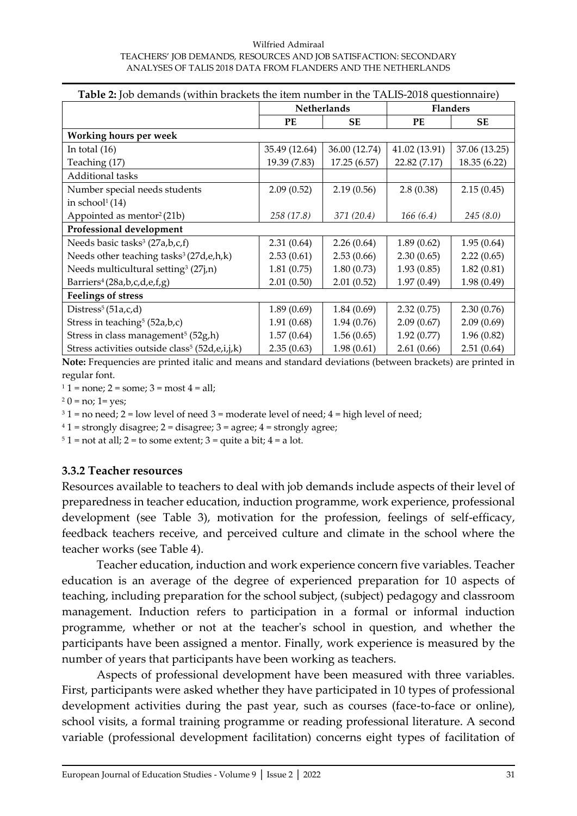#### Wilfried Admiraal TEACHERS' JOB DEMANDS, RESOURCES AND JOB SATISFACTION: SECONDARY ANALYSES OF TALIS 2018 DATA FROM FLANDERS AND THE NETHERLANDS

| <b>Table 2:</b> Job demands (within brackets the item number in the TALIS-2018 questionnaire) |                          |                    |                 |               |  |  |
|-----------------------------------------------------------------------------------------------|--------------------------|--------------------|-----------------|---------------|--|--|
|                                                                                               |                          | <b>Netherlands</b> | <b>Flanders</b> |               |  |  |
|                                                                                               | PE                       | <b>SE</b>          | PE              | <b>SE</b>     |  |  |
| <b>Working hours per week</b>                                                                 |                          |                    |                 |               |  |  |
| In total $(16)$                                                                               | 35.49 (12.64)            | 36.00 (12.74)      | 41.02 (13.91)   | 37.06 (13.25) |  |  |
| Teaching (17)                                                                                 | 19.39 (7.83)             | 17.25(6.57)        | 22.82 (7.17)    | 18.35 (6.22)  |  |  |
| Additional tasks                                                                              |                          |                    |                 |               |  |  |
| Number special needs students                                                                 | 2.09(0.52)               | 2.19(0.56)         | 2.8(0.38)       | 2.15(0.45)    |  |  |
| in school $(14)$                                                                              |                          |                    |                 |               |  |  |
| Appointed as mentor <sup>2</sup> (21b)                                                        | 258 (17.8)<br>371 (20.4) |                    | 166(6.4)        | 245(8.0)      |  |  |
| Professional development                                                                      |                          |                    |                 |               |  |  |
| Needs basic tasks <sup>3</sup> (27a,b,c,f)                                                    | 2.31(0.64)               | 2.26(0.64)         | 1.89(0.62)      | 1.95(0.64)    |  |  |
| Needs other teaching tasks <sup>3</sup> (27d, e, h, k)                                        | 2.53(0.66)<br>2.53(0.61) |                    | 2.30(0.65)      | 2.22(0.65)    |  |  |
| Needs multicultural setting <sup>3</sup> (27 <i>j</i> ,n)                                     | 1.81(0.75)               | 1.80(0.73)         | 1.93(0.85)      | 1.82(0.81)    |  |  |
| Barriers <sup>4</sup> (28a,b,c,d,e,f,g)                                                       | 2.01(0.50)               | 2.01(0.52)         | 1.97(0.49)      | 1.98(0.49)    |  |  |
| <b>Feelings of stress</b>                                                                     |                          |                    |                 |               |  |  |
| Distress <sup>5</sup> (51a,c,d)                                                               | 1.89(0.69)               | 1.84(0.69)         | 2.32(0.75)      | 2.30(0.76)    |  |  |
| Stress in teaching <sup>5</sup> (52a,b,c)                                                     | 1.91(0.68)               | 1.94(0.76)         | 2.09(0.67)      | 2.09(0.69)    |  |  |
| Stress in class management <sup>5</sup> (52g,h)                                               | 1.57(0.64)               | 1.56(0.65)         | 1.92(0.77)      | 1.96(0.82)    |  |  |
| Stress activities outside class <sup>5</sup> (52d,e,i,j,k)                                    | 2.35(0.63)               | 1.98(0.61)         | 2.61(0.66)      | 2.51(0.64)    |  |  |

**Note:** Frequencies are printed italic and means and standard deviations (between brackets) are printed in regular font.

 $11 = none$ ;  $2 = some$ ;  $3 = most 4 = all$ ;

 $20 = no$ ; 1 = yes;

 $31$  = no need;  $2$  = low level of need  $3$  = moderate level of need;  $4$  = high level of need;

 $41 =$  strongly disagree;  $2 =$  disagree;  $3 =$  agree;  $4 =$  strongly agree;

 $5 1 =$ not at all;  $2 =$ to some extent;  $3 =$ quite a bit;  $4 =$ a lot.

### **3.3.2 Teacher resources**

Resources available to teachers to deal with job demands include aspects of their level of preparedness in teacher education, induction programme, work experience, professional development (see Table 3), motivation for the profession, feelings of self-efficacy, feedback teachers receive, and perceived culture and climate in the school where the teacher works (see Table 4).

Teacher education, induction and work experience concern five variables. Teacher education is an average of the degree of experienced preparation for 10 aspects of teaching, including preparation for the school subject, (subject) pedagogy and classroom management. Induction refers to participation in a formal or informal induction programme, whether or not at the teacher's school in question, and whether the participants have been assigned a mentor. Finally, work experience is measured by the number of years that participants have been working as teachers.

Aspects of professional development have been measured with three variables. First, participants were asked whether they have participated in 10 types of professional development activities during the past year, such as courses (face-to-face or online), school visits, a formal training programme or reading professional literature. A second variable (professional development facilitation) concerns eight types of facilitation of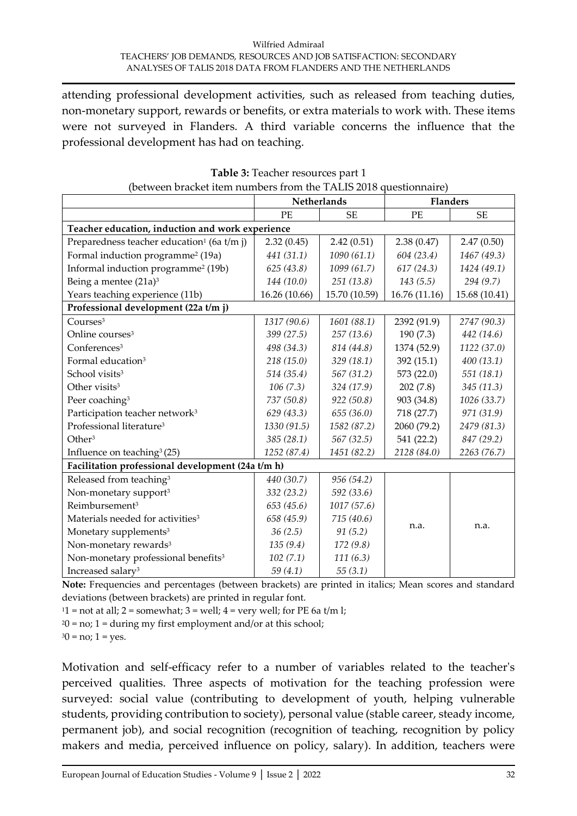attending professional development activities, such as released from teaching duties, non-monetary support, rewards or benefits, or extra materials to work with. These items were not surveyed in Flanders. A third variable concerns the influence that the professional development has had on teaching.

|                                                        | <b>Netherlands</b>         |               | <b>Flanders</b> |               |
|--------------------------------------------------------|----------------------------|---------------|-----------------|---------------|
|                                                        | PE                         | <b>SE</b>     | PE              | <b>SE</b>     |
| Teacher education, induction and work experience       |                            |               |                 |               |
| Preparedness teacher education <sup>1</sup> (6a t/m j) | 2.32(0.45)                 | 2.42(0.51)    | 2.38(0.47)      | 2.47(0.50)    |
| Formal induction programme <sup>2</sup> (19a)          | 441 (31.1)                 | 1090(61.1)    | 604 (23.4)      | 1467 (49.3)   |
| Informal induction programme <sup>2</sup> (19b)        | 625(43.8)                  | 1099 (61.7)   | 617(24.3)       | 1424 (49.1)   |
| Being a mentee (21a) <sup>3</sup>                      | 144 (10.0)                 | 251(13.8)     | 143(5.5)        | 294(9.7)      |
| Years teaching experience (11b)                        | 16.26 (10.66)              | 15.70 (10.59) | 16.76 (11.16)   | 15.68 (10.41) |
| Professional development (22a t/m j)                   |                            |               |                 |               |
| Courses <sup>3</sup>                                   | 1317 (90.6)                | 1601 (88.1)   | 2392 (91.9)     | 2747 (90.3)   |
| Online courses <sup>3</sup>                            | 399 (27.5)                 | 257(13.6)     | 190(7.3)        | 442 (14.6)    |
| Conferences <sup>3</sup>                               | 498 (34.3)                 | 814 (44.8)    | 1374 (52.9)     | 1122 (37.0)   |
| Formal education <sup>3</sup>                          | 218 (15.0)                 | 329 (18.1)    | 392 (15.1)      | 400(13.1)     |
| School visits <sup>3</sup>                             | 514 (35.4)                 | 567 (31.2)    | 573 (22.0)      | 551 (18.1)    |
| Other visits <sup>3</sup>                              | 106(7.3)                   | 324 (17.9)    | 202(7.8)        | 345(11.3)     |
| Peer coaching <sup>3</sup>                             | 737 (50.8)                 | 922(50.8)     | 903 (34.8)      | 1026 (33.7)   |
| Participation teacher network <sup>3</sup>             | 629 (43.3)                 | 655 (36.0)    | 718 (27.7)      | 971 (31.9)    |
| Professional literature <sup>3</sup>                   | 1330 (91.5)                | 1582 (87.2)   | 2060 (79.2)     | 2479 (81.3)   |
| Other <sup>3</sup>                                     | 385 (28.1)                 | 567 (32.5)    | 541 (22.2)      | 847 (29.2)    |
| Influence on teaching <sup>3</sup> (25)                | 1252 (87.4)<br>1451 (82.2) |               | 2128 (84.0)     | 2263 (76.7)   |
| Facilitation professional development (24a t/m h)      |                            |               |                 |               |
| Released from teaching <sup>3</sup>                    | 440 (30.7)                 | 956 (54.2)    |                 |               |
| Non-monetary support <sup>3</sup>                      | 332 (23.2)                 | 592 (33.6)    |                 |               |
| Reimbursement <sup>3</sup>                             | 653 (45.6)                 | 1017(57.6)    |                 |               |
| Materials needed for activities <sup>3</sup>           | 658 (45.9)                 | 715(40.6)     |                 |               |
| Monetary supplements <sup>3</sup>                      | 36(2.5)                    | 91(5.2)       | n.a.            | n.a.          |
| Non-monetary rewards <sup>3</sup>                      | 135(9.4)                   | 172(9.8)      |                 |               |
| Non-monetary professional benefits <sup>3</sup>        | 102(7.1)                   | 111(6.3)      |                 |               |
| Increased salary <sup>3</sup>                          | 59(4.1)                    | 55(3.1)       |                 |               |

**Table 3:** Teacher resources part 1 (between bracket item numbers from the TALIS 2018 questionnaire)

**Note:** Frequencies and percentages (between brackets) are printed in italics; Mean scores and standard deviations (between brackets) are printed in regular font.

 $11 =$ not at all; 2 = somewhat; 3 = well; 4 = very well; for PE 6a t/m l;

 $20 = no$ ; 1 = during my first employment and/or at this school;

 $30 = no$ ; 1 = yes.

Motivation and self-efficacy refer to a number of variables related to the teacher's perceived qualities. Three aspects of motivation for the teaching profession were surveyed: social value (contributing to development of youth, helping vulnerable students, providing contribution to society), personal value (stable career, steady income, permanent job), and social recognition (recognition of teaching, recognition by policy makers and media, perceived influence on policy, salary). In addition, teachers were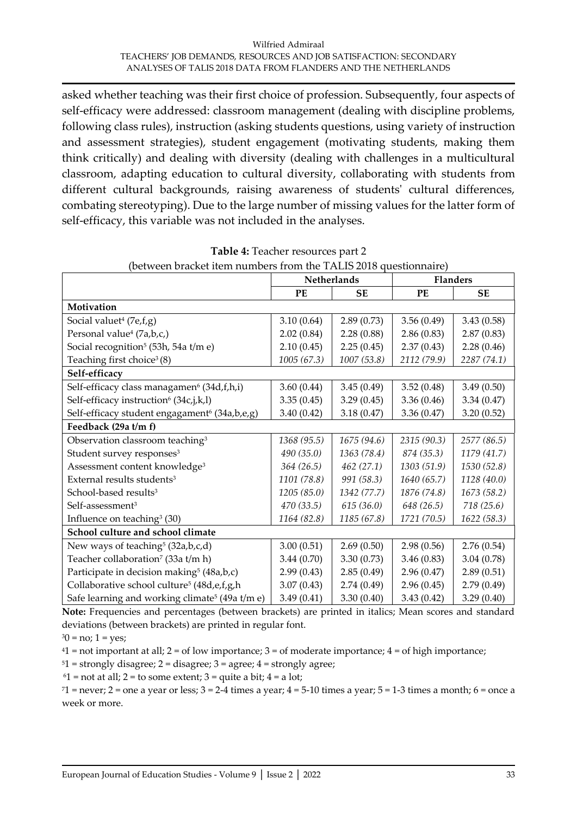asked whether teaching was their first choice of profession. Subsequently, four aspects of self-efficacy were addressed: classroom management (dealing with discipline problems, following class rules), instruction (asking students questions, using variety of instruction and assessment strategies), student engagement (motivating students, making them think critically) and dealing with diversity (dealing with challenges in a multicultural classroom, adapting education to cultural diversity, collaborating with students from different cultural backgrounds, raising awareness of students' cultural differences, combating stereotyping). Due to the large number of missing values for the latter form of self-efficacy, this variable was not included in the analyses.

|                                                            | Netherlands              |             |             | <b>Flanders</b> |  |
|------------------------------------------------------------|--------------------------|-------------|-------------|-----------------|--|
|                                                            | PE                       | <b>SE</b>   | PE          | <b>SE</b>       |  |
| Motivation                                                 |                          |             |             |                 |  |
| Social valuet <sup>4</sup> (7e,f,g)                        | 3.10(0.64)               | 2.89(0.73)  | 3.56(0.49)  | 3.43(0.58)      |  |
| Personal value <sup>4</sup> (7a,b,c,)                      | 2.02(0.84)               | 2.28(0.88)  | 2.86(0.83)  | 2.87(0.83)      |  |
| Social recognition <sup>5</sup> (53h, 54a t/m e)           | 2.10(0.45)               | 2.25(0.45)  | 2.37(0.43)  | 2.28(0.46)      |  |
| Teaching first choice <sup>3</sup> (8)                     | 1005(67.3)               | 1007 (53.8) | 2112 (79.9) | 2287 (74.1)     |  |
| Self-efficacy                                              |                          |             |             |                 |  |
| Self-efficacy class managamen <sup>6</sup> (34d,f,h,i)     | 3.60(0.44)               | 3.45(0.49)  | 3.52(0.48)  | 3.49(0.50)      |  |
| Self-efficacy instruction <sup>6</sup> (34c,j,k,l)         | 3.35(0.45)               | 3.29(0.45)  | 3.36(0.46)  | 3.34(0.47)      |  |
| Self-efficacy student engagament <sup>6</sup> (34a,b,e,g)  | 3.40(0.42)<br>3.18(0.47) |             | 3.36(0.47)  | 3.20(0.52)      |  |
| Feedback (29a t/m f)                                       |                          |             |             |                 |  |
| Observation classroom teaching <sup>3</sup>                | 1368 (95.5)              | 1675 (94.6) | 2315 (90.3) | 2577 (86.5)     |  |
| Student survey responses <sup>3</sup>                      | 490 (35.0)               | 1363 (78.4) | 874 (35.3)  | 1179 (41.7)     |  |
| Assessment content knowledge <sup>3</sup>                  | 364 (26.5)               | 462(27.1)   | 1303 (51.9) | 1530 (52.8)     |  |
| External results students <sup>3</sup>                     | 1101 (78.8)              | 991 (58.3)  | 1640 (65.7) | 1128 (40.0)     |  |
| School-based results <sup>3</sup>                          | 1205 (85.0)              | 1342 (77.7) | 1876 (74.8) | 1673 (58.2)     |  |
| Self-assessment <sup>3</sup>                               | 470 (33.5)               | 615 (36.0)  | 648 (26.5)  | 718 (25.6)      |  |
| Influence on teaching <sup>3</sup> (30)                    | 1164 (82.8)              | 1185 (67.8) | 1721 (70.5) | 1622 (58.3)     |  |
| School culture and school climate                          |                          |             |             |                 |  |
| New ways of teaching <sup>5</sup> (32a,b,c,d)              | 3.00(0.51)               | 2.69(0.50)  | 2.98(0.56)  | 2.76(0.54)      |  |
| Teacher collaboration <sup>7</sup> (33a t/m h)             | 3.44(0.70)               | 3.30(0.73)  | 3.46(0.83)  | 3.04(0.78)      |  |
| Participate in decision making <sup>5</sup> (48a,b,c)      | 2.99(0.43)               | 2.85(0.49)  | 2.96(0.47)  | 2.89(0.51)      |  |
| Collaborative school culture <sup>5</sup> (48d,e,f,g,h     | 3.07(0.43)               | 2.74(0.49)  | 2.96(0.45)  | 2.79(0.49)      |  |
| Safe learning and working climate <sup>5</sup> (49a t/m e) | 3.49(0.41)               | 3.30(0.40)  | 3.43(0.42)  | 3.29(0.40)      |  |

| <b>Table 4:</b> Teacher resources part 2                         |
|------------------------------------------------------------------|
| (between bracket item numbers from the TALIS 2018 questionnaire) |

**Note:** Frequencies and percentages (between brackets) are printed in italics; Mean scores and standard deviations (between brackets) are printed in regular font.

 $30 = no; 1 = yes;$ 

 $41$  = not important at all;  $2$  = of low importance;  $3$  = of moderate importance;  $4$  = of high importance;

 $51 =$  strongly disagree;  $2 =$  disagree;  $3 =$  agree;  $4 =$  strongly agree;

 $61$  = not at all; 2 = to some extent; 3 = quite a bit; 4 = a lot;

 $71$  = never; 2 = one a year or less;  $3 = 2-4$  times a year;  $4 = 5-10$  times a year;  $5 = 1-3$  times a month;  $6 =$  once a week or more.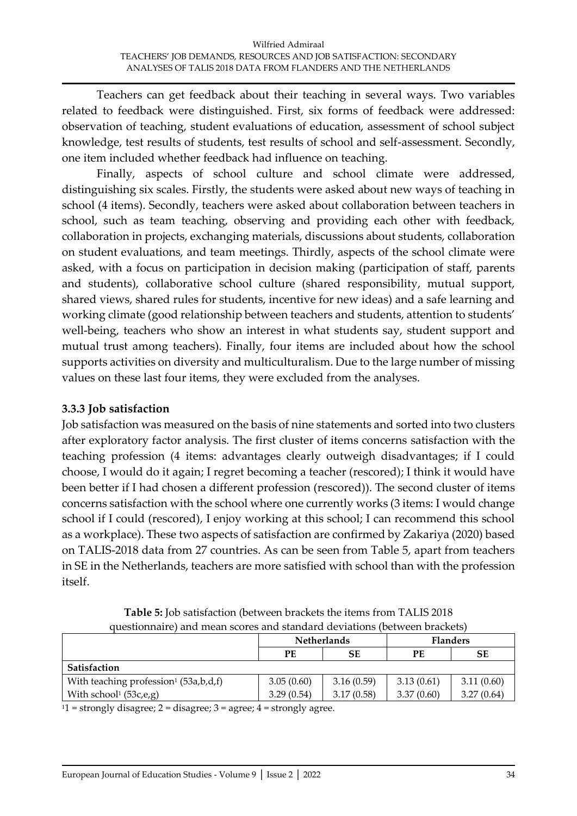Teachers can get feedback about their teaching in several ways. Two variables related to feedback were distinguished. First, six forms of feedback were addressed: observation of teaching, student evaluations of education, assessment of school subject knowledge, test results of students, test results of school and self-assessment. Secondly, one item included whether feedback had influence on teaching.

Finally, aspects of school culture and school climate were addressed, distinguishing six scales. Firstly, the students were asked about new ways of teaching in school (4 items). Secondly, teachers were asked about collaboration between teachers in school, such as team teaching, observing and providing each other with feedback, collaboration in projects, exchanging materials, discussions about students, collaboration on student evaluations, and team meetings. Thirdly, aspects of the school climate were asked, with a focus on participation in decision making (participation of staff, parents and students), collaborative school culture (shared responsibility, mutual support, shared views, shared rules for students, incentive for new ideas) and a safe learning and working climate (good relationship between teachers and students, attention to students' well-being, teachers who show an interest in what students say, student support and mutual trust among teachers). Finally, four items are included about how the school supports activities on diversity and multiculturalism. Due to the large number of missing values on these last four items, they were excluded from the analyses.

### **3.3.3 Job satisfaction**

Job satisfaction was measured on the basis of nine statements and sorted into two clusters after exploratory factor analysis. The first cluster of items concerns satisfaction with the teaching profession (4 items: advantages clearly outweigh disadvantages; if I could choose, I would do it again; I regret becoming a teacher (rescored); I think it would have been better if I had chosen a different profession (rescored)). The second cluster of items concerns satisfaction with the school where one currently works (3 items: I would change school if I could (rescored), I enjoy working at this school; I can recommend this school as a workplace). These two aspects of satisfaction are confirmed by Zakariya (2020) based on TALIS-2018 data from 27 countries. As can be seen from Table 5, apart from teachers in SE in the Netherlands, teachers are more satisfied with school than with the profession itself.

|                                                   |            | <b>Netherlands</b> | <b>Flanders</b> |            |  |  |
|---------------------------------------------------|------------|--------------------|-----------------|------------|--|--|
|                                                   | PЕ         | SЕ                 |                 |            |  |  |
| Satisfaction                                      |            |                    |                 |            |  |  |
| With teaching profession <sup>1</sup> (53a,b,d,f) | 3.05(0.60) | 3.16(0.59)         | 3.13(0.61)      | 3.11(0.60) |  |  |
| With school <sup>1</sup> (53c,e,g)                | 3.29(0.54) | 3.17(0.58)         | 3.37(0.60)      | 3.27(0.64) |  |  |

**Table 5:** Job satisfaction (between brackets the items from TALIS 2018 questionnaire) and mean scores and standard deviations (between brackets)

 $11 =$  strongly disagree;  $2 =$  disagree;  $3 =$  agree;  $4 =$  strongly agree.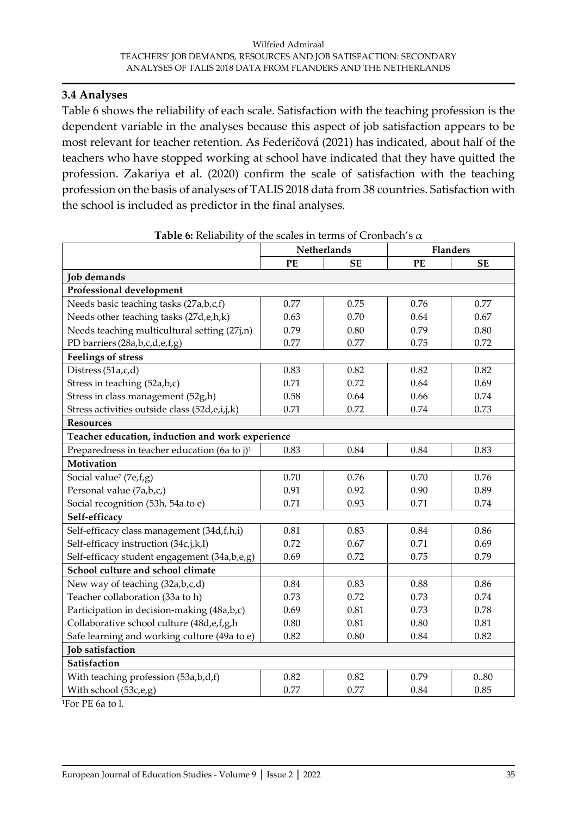#### **3.4 Analyses**

Table 6 shows the reliability of each scale. Satisfaction with the teaching profession is the dependent variable in the analyses because this aspect of job satisfaction appears to be most relevant for teacher retention. As Federičová (2021) has indicated, about half of the teachers who have stopped working at school have indicated that they have quitted the profession. Zakariya et al. (2020) confirm the scale of satisfaction with the teaching profession on the basis of analyses of TALIS 2018 data from 38 countries. Satisfaction with the school is included as predictor in the final analyses.

| Netherlands                                      |           |      | <b>Flanders</b> |
|--------------------------------------------------|-----------|------|-----------------|
| PE                                               | <b>SE</b> | PE   | <b>SE</b>       |
|                                                  |           |      |                 |
|                                                  |           |      |                 |
| 0.77                                             | 0.75      | 0.76 | 0.77            |
| 0.63                                             | 0.70      | 0.64 | 0.67            |
| 0.79                                             | 0.80      | 0.79 | 0.80            |
| 0.77                                             | 0.77      | 0.75 | 0.72            |
|                                                  |           |      |                 |
| 0.83                                             | 0.82      | 0.82 | 0.82            |
| 0.71                                             | 0.72      | 0.64 | 0.69            |
| 0.58                                             | 0.64      | 0.66 | 0.74            |
| 0.71                                             | 0.72      | 0.74 | 0.73            |
|                                                  |           |      |                 |
| Teacher education, induction and work experience |           |      |                 |
| 0.83                                             | 0.84      | 0.84 | 0.83            |
|                                                  |           |      |                 |
| 0.70                                             | 0.76      | 0.70 | 0.76            |
| 0.91                                             | 0.92      | 0.90 | 0.89            |
| 0.71                                             | 0.93      | 0.71 | 0.74            |
|                                                  |           |      |                 |
| 0.81                                             | 0.83      | 0.84 | 0.86            |
| 0.72                                             | 0.67      | 0.71 | 0.69            |
| 0.69                                             | 0.72      | 0.75 | 0.79            |
|                                                  |           |      |                 |
| 0.84                                             | 0.83      | 0.88 | 0.86            |
| 0.73                                             | 0.72      | 0.73 | 0.74            |
| 0.69                                             | 0.81      | 0.73 | 0.78            |
| 0.80                                             | 0.81      | 0.80 | 0.81            |
| 0.82                                             | 0.80      | 0.84 | 0.82            |
|                                                  |           |      |                 |
|                                                  |           |      |                 |
| 0.82                                             | 0.82      | 0.79 | 0.80            |
| 0.77                                             | 0.77      | 0.84 | 0.85            |
|                                                  |           |      |                 |

|  |  | Table 6: Reliability of the scales in terms of Cronbach's $\alpha$ |
|--|--|--------------------------------------------------------------------|
|  |  |                                                                    |

1For PE 6a to l.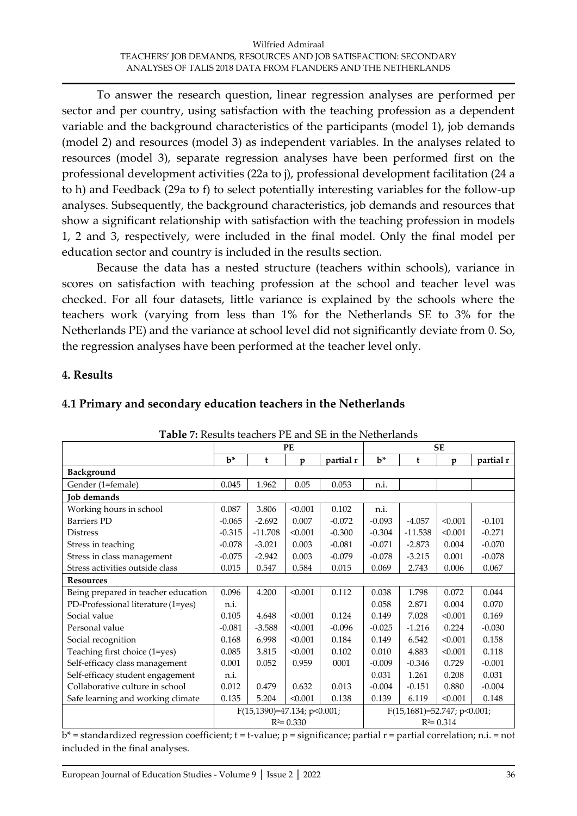To answer the research question, linear regression analyses are performed per sector and per country, using satisfaction with the teaching profession as a dependent variable and the background characteristics of the participants (model 1), job demands (model 2) and resources (model 3) as independent variables. In the analyses related to resources (model 3), separate regression analyses have been performed first on the professional development activities (22a to j), professional development facilitation (24 a to h) and Feedback (29a to f) to select potentially interesting variables for the follow-up analyses. Subsequently, the background characteristics, job demands and resources that show a significant relationship with satisfaction with the teaching profession in models 1, 2 and 3, respectively, were included in the final model. Only the final model per education sector and country is included in the results section.

Because the data has a nested structure (teachers within schools), variance in scores on satisfaction with teaching profession at the school and teacher level was checked. For all four datasets, little variance is explained by the schools where the teachers work (varying from less than 1% for the Netherlands SE to 3% for the Netherlands PE) and the variance at school level did not significantly deviate from 0. So, the regression analyses have been performed at the teacher level only.

#### **4. Results**

| <b>Table 7:</b> Results teachers PE and SE in the Netherlands |          |                             |               |           |          |                               |               |           |
|---------------------------------------------------------------|----------|-----------------------------|---------------|-----------|----------|-------------------------------|---------------|-----------|
|                                                               |          |                             | <b>PE</b>     |           |          |                               | <b>SE</b>     |           |
|                                                               | $h^*$    | t                           | p             | partial r | $b^*$    | t                             | p             | partial r |
| Background                                                    |          |                             |               |           |          |                               |               |           |
| Gender (1=female)                                             | 0.045    | 1.962                       | 0.05          | 0.053     | n.i.     |                               |               |           |
| <b>Job</b> demands                                            |          |                             |               |           |          |                               |               |           |
| Working hours in school                                       | 0.087    | 3.806                       | < 0.001       | 0.102     | n.i.     |                               |               |           |
| <b>Barriers PD</b>                                            | $-0.065$ | $-2.692$                    | 0.007         | $-0.072$  | $-0.093$ | $-4.057$                      | < 0.001       | $-0.101$  |
| <b>Distress</b>                                               | $-0.315$ | $-11.708$                   | < 0.001       | $-0.300$  | $-0.304$ | $-11.538$                     | < 0.001       | $-0.271$  |
| Stress in teaching                                            | $-0.078$ | $-3.021$                    | 0.003         | $-0.081$  | $-0.071$ | $-2.873$                      | 0.004         | $-0.070$  |
| Stress in class management                                    | $-0.075$ | $-2.942$                    | 0.003         | $-0.079$  | $-0.078$ | $-3.215$                      | 0.001         | $-0.078$  |
| Stress activities outside class                               | 0.015    | 0.547                       | 0.584         | 0.015     | 0.069    | 2.743                         | 0.006         | 0.067     |
| <b>Resources</b>                                              |          |                             |               |           |          |                               |               |           |
| Being prepared in teacher education                           | 0.096    | 4.200                       | < 0.001       | 0.112     | 0.038    | 1.798                         | 0.072         | 0.044     |
| PD-Professional literature (1=yes)                            | n.i.     |                             |               |           | 0.058    | 2.871                         | 0.004         | 0.070     |
| Social value                                                  | 0.105    | 4.648                       | < 0.001       | 0.124     | 0.149    | 7.028                         | < 0.001       | 0.169     |
| Personal value                                                | $-0.081$ | $-3.588$                    | < 0.001       | $-0.096$  | $-0.025$ | $-1.216$                      | 0.224         | $-0.030$  |
| Social recognition                                            | 0.168    | 6.998                       | < 0.001       | 0.184     | 0.149    | 6.542                         | < 0.001       | 0.158     |
| Teaching first choice (1=yes)                                 | 0.085    | 3.815                       | < 0.001       | 0.102     | 0.010    | 4.883                         | < 0.001       | 0.118     |
| Self-efficacy class management                                | 0.001    | 0.052                       | 0.959         | 0001      | $-0.009$ | $-0.346$                      | 0.729         | $-0.001$  |
| Self-efficacy student engagement                              | n.i.     |                             |               |           | 0.031    | 1.261                         | 0.208         | 0.031     |
| Collaborative culture in school                               | 0.012    | 0.479                       | 0.632         | 0.013     | $-0.004$ | $-0.151$                      | 0.880         | $-0.004$  |
| Safe learning and working climate                             | 0.135    | 5.204                       | < 0.001       | 0.138     | 0.139    | 6.119                         | < 0.001       | 0.148     |
|                                                               |          | F(15,1390)=47.134; p<0.001; |               |           |          | $F(15,1681)=52.747; p<0.001;$ |               |           |
|                                                               |          |                             | $R^2 = 0.330$ |           |          |                               | $R^2 = 0.314$ |           |

#### **4.1 Primary and secondary education teachers in the Netherlands**

 $b^*$  = standardized regression coefficient;  $t$  =  $t$ -value;  $p$  = significance; partial  $r$  = partial correlation; n.i. = not included in the final analyses.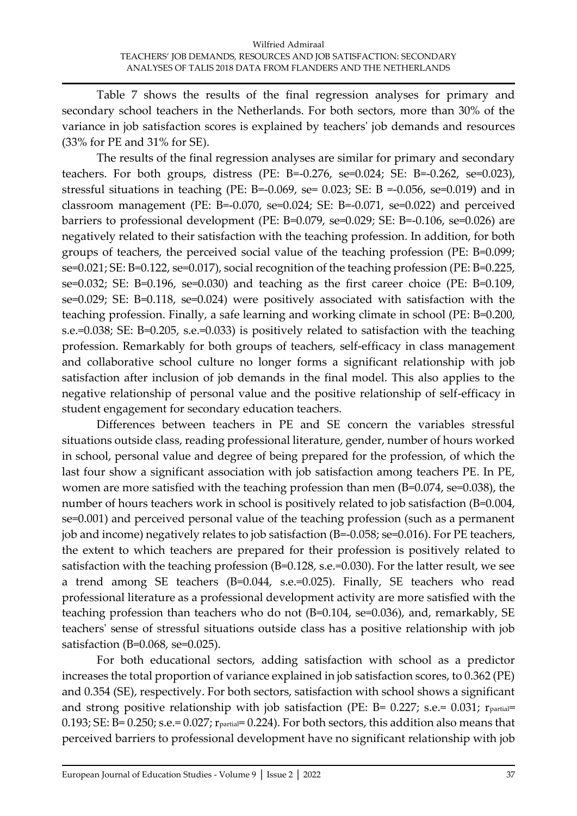Table 7 shows the results of the final regression analyses for primary and secondary school teachers in the Netherlands. For both sectors, more than 30% of the variance in job satisfaction scores is explained by teachers' job demands and resources (33% for PE and 31% for SE).

The results of the final regression analyses are similar for primary and secondary teachers. For both groups, distress (PE: B=-0.276, se=0.024; SE: B=-0.262, se=0.023), stressful situations in teaching (PE: B=-0.069, se= 0.023; SE: B =-0.056, se=0.019) and in classroom management (PE: B=-0.070, se=0.024; SE: B=-0.071, se=0.022) and perceived barriers to professional development (PE: B=0.079, se=0.029; SE: B=-0.106, se=0.026) are negatively related to their satisfaction with the teaching profession. In addition, for both groups of teachers, the perceived social value of the teaching profession (PE: B=0.099; se=0.021; SE: B=0.122, se=0.017), social recognition of the teaching profession (PE: B=0.225, se=0.032; SE: B=0.196, se=0.030) and teaching as the first career choice (PE: B=0.109, se=0.029; SE: B=0.118, se=0.024) were positively associated with satisfaction with the teaching profession. Finally, a safe learning and working climate in school (PE: B=0.200, s.e.=0.038; SE: B=0.205, s.e.=0.033) is positively related to satisfaction with the teaching profession. Remarkably for both groups of teachers, self-efficacy in class management and collaborative school culture no longer forms a significant relationship with job satisfaction after inclusion of job demands in the final model. This also applies to the negative relationship of personal value and the positive relationship of self-efficacy in student engagement for secondary education teachers.

Differences between teachers in PE and SE concern the variables stressful situations outside class, reading professional literature, gender, number of hours worked in school, personal value and degree of being prepared for the profession, of which the last four show a significant association with job satisfaction among teachers PE. In PE, women are more satisfied with the teaching profession than men (B=0.074, se=0.038), the number of hours teachers work in school is positively related to job satisfaction (B=0.004, se=0.001) and perceived personal value of the teaching profession (such as a permanent job and income) negatively relates to job satisfaction (B=-0.058; se=0.016). For PE teachers, the extent to which teachers are prepared for their profession is positively related to satisfaction with the teaching profession (B=0.128, s.e.=0.030). For the latter result, we see a trend among SE teachers (B=0.044, s.e.=0.025). Finally, SE teachers who read professional literature as a professional development activity are more satisfied with the teaching profession than teachers who do not (B=0.104, se=0.036), and, remarkably, SE teachers' sense of stressful situations outside class has a positive relationship with job satisfaction (B=0.068, se=0.025).

For both educational sectors, adding satisfaction with school as a predictor increases the total proportion of variance explained in job satisfaction scores, to 0.362 (PE) and 0.354 (SE), respectively. For both sectors, satisfaction with school shows a significant and strong positive relationship with job satisfaction (PE: B= 0.227; s.e.= 0.031; r<sub>partial</sub>= 0.193; SE: B= 0.250; s.e.= 0.027; rpartial= 0.224). For both sectors, this addition also means that perceived barriers to professional development have no significant relationship with job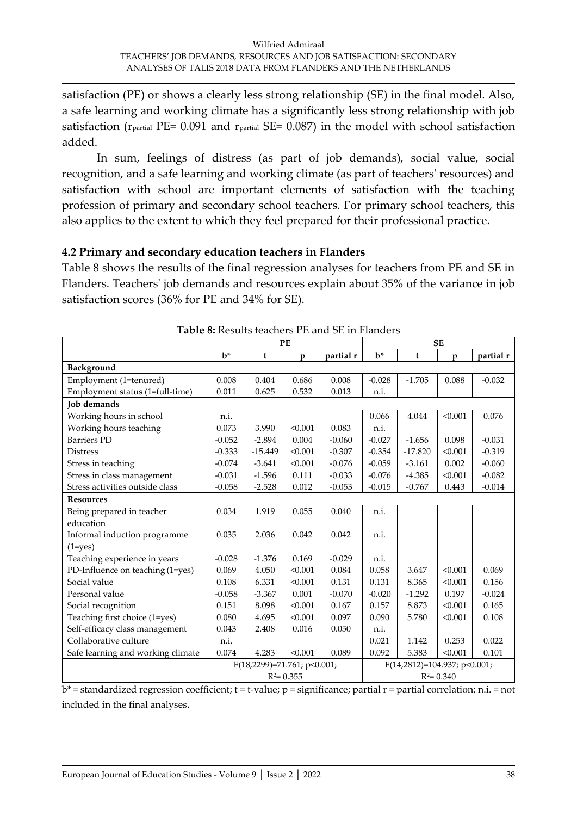satisfaction (PE) or shows a clearly less strong relationship (SE) in the final model. Also, a safe learning and working climate has a significantly less strong relationship with job satisfaction ( $r_{\text{partial}}$  PE= 0.091 and  $r_{\text{partial}}$  SE= 0.087) in the model with school satisfaction added.

In sum, feelings of distress (as part of job demands), social value, social recognition, and a safe learning and working climate (as part of teachers' resources) and satisfaction with school are important elements of satisfaction with the teaching profession of primary and secondary school teachers. For primary school teachers, this also applies to the extent to which they feel prepared for their professional practice.

### **4.2 Primary and secondary education teachers in Flanders**

Table 8 shows the results of the final regression analyses for teachers from PE and SE in Flanders. Teachers' job demands and resources explain about 35% of the variance in job satisfaction scores (36% for PE and 34% for SE).

|                                   |          |                             | PE            |           | <b>SE</b> |                              |               |           |
|-----------------------------------|----------|-----------------------------|---------------|-----------|-----------|------------------------------|---------------|-----------|
|                                   | $b^*$    | t                           | $\mathbf{p}$  | partial r | $b^*$     | $\mathbf t$                  | $\mathbf{p}$  | partial r |
| Background                        |          |                             |               |           |           |                              |               |           |
| Employment (1=tenured)            | 0.008    | 0.404                       | 0.686         | 0.008     | $-0.028$  | $-1.705$                     | 0.088         | $-0.032$  |
| Employment status (1=full-time)   | 0.011    | 0.625                       | 0.532         | 0.013     | n.i.      |                              |               |           |
| <b>Job</b> demands                |          |                             |               |           |           |                              |               |           |
| Working hours in school           | n.i.     |                             |               |           | 0.066     | 4.044                        | < 0.001       | 0.076     |
| Working hours teaching            | 0.073    | 3.990                       | < 0.001       | 0.083     | n.i.      |                              |               |           |
| <b>Barriers PD</b>                | $-0.052$ | $-2.894$                    | 0.004         | $-0.060$  | $-0.027$  | $-1.656$                     | 0.098         | $-0.031$  |
| <b>Distress</b>                   | $-0.333$ | $-15.449$                   | < 0.001       | $-0.307$  | $-0.354$  | $-17.820$                    | < 0.001       | $-0.319$  |
| Stress in teaching                | $-0.074$ | $-3.641$                    | < 0.001       | $-0.076$  | $-0.059$  | $-3.161$                     | 0.002         | $-0.060$  |
| Stress in class management        | $-0.031$ | $-1.596$                    | 0.111         | $-0.033$  | $-0.076$  | $-4.385$                     | < 0.001       | $-0.082$  |
| Stress activities outside class   | $-0.058$ | $-2.528$                    | 0.012         | $-0.053$  | $-0.015$  | $-0.767$                     | 0.443         | $-0.014$  |
| <b>Resources</b>                  |          |                             |               |           |           |                              |               |           |
| Being prepared in teacher         | 0.034    | 1.919                       | 0.055         | 0.040     | n.i.      |                              |               |           |
| education                         |          |                             |               |           |           |                              |               |           |
| Informal induction programme      | 0.035    | 2.036                       | 0.042         | 0.042     | n.i.      |                              |               |           |
| $(1 = yes)$                       |          |                             |               |           |           |                              |               |           |
| Teaching experience in years      | $-0.028$ | $-1.376$                    | 0.169         | $-0.029$  | n.i.      |                              |               |           |
| PD-Influence on teaching (1=yes)  | 0.069    | 4.050                       | < 0.001       | 0.084     | 0.058     | 3.647                        | < 0.001       | 0.069     |
| Social value                      | 0.108    | 6.331                       | < 0.001       | 0.131     | 0.131     | 8.365                        | < 0.001       | 0.156     |
| Personal value                    | $-0.058$ | $-3.367$                    | 0.001         | $-0.070$  | $-0.020$  | $-1.292$                     | 0.197         | $-0.024$  |
| Social recognition                | 0.151    | 8.098                       | < 0.001       | 0.167     | 0.157     | 8.873                        | < 0.001       | 0.165     |
| Teaching first choice (1=yes)     | 0.080    | 4.695                       | < 0.001       | 0.097     | 0.090     | 5.780                        | < 0.001       | 0.108     |
| Self-efficacy class management    | 0.043    | 2.408                       | 0.016         | 0.050     | n.i.      |                              |               |           |
| Collaborative culture             | n.i.     |                             |               |           | 0.021     | 1.142                        | 0.253         | 0.022     |
| Safe learning and working climate | 0.074    | 4.283                       | < 0.001       | 0.089     | 0.092     | 5.383                        | < 0.001       | 0.101     |
|                                   |          | F(18,2299)=71.761; p<0.001; |               |           |           | F(14,2812)=104.937; p<0.001; |               |           |
|                                   |          |                             | $R^2 = 0.355$ |           |           |                              | $R^2 = 0.340$ |           |

**Table 8:** Results teachers PE and SE in Flanders

 $b^*$  = standardized regression coefficient;  $t = t$ -value;  $p =$  significance; partial  $r =$  partial correlation; n.i. = not included in the final analyses.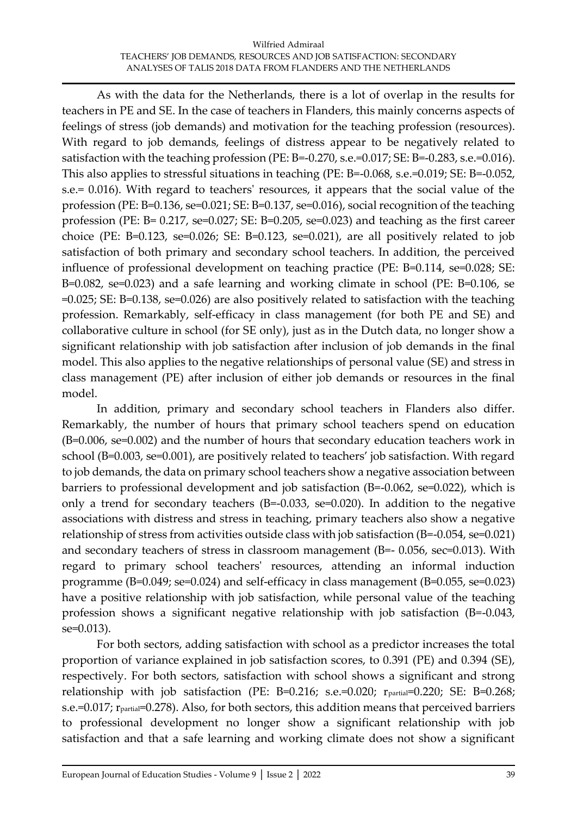As with the data for the Netherlands, there is a lot of overlap in the results for teachers in PE and SE. In the case of teachers in Flanders, this mainly concerns aspects of feelings of stress (job demands) and motivation for the teaching profession (resources). With regard to job demands, feelings of distress appear to be negatively related to satisfaction with the teaching profession (PE: B=-0.270, s.e.=0.017; SE: B=-0.283, s.e.=0.016). This also applies to stressful situations in teaching (PE: B=-0.068, s.e.=0.019; SE: B=-0.052, s.e.= 0.016). With regard to teachers' resources, it appears that the social value of the profession (PE: B=0.136, se=0.021; SE: B=0.137, se=0.016), social recognition of the teaching profession (PE: B= 0.217, se=0.027; SE: B=0.205, se=0.023) and teaching as the first career choice (PE: B=0.123, se=0.026; SE: B=0.123, se=0.021), are all positively related to job satisfaction of both primary and secondary school teachers. In addition, the perceived influence of professional development on teaching practice (PE: B=0.114, se=0.028; SE: B=0.082, se=0.023) and a safe learning and working climate in school (PE: B=0.106, se =0.025; SE: B=0.138, se=0.026) are also positively related to satisfaction with the teaching profession. Remarkably, self-efficacy in class management (for both PE and SE) and collaborative culture in school (for SE only), just as in the Dutch data, no longer show a significant relationship with job satisfaction after inclusion of job demands in the final model. This also applies to the negative relationships of personal value (SE) and stress in class management (PE) after inclusion of either job demands or resources in the final model.

In addition, primary and secondary school teachers in Flanders also differ. Remarkably, the number of hours that primary school teachers spend on education (B=0.006, se=0.002) and the number of hours that secondary education teachers work in school (B=0.003, se=0.001), are positively related to teachers' job satisfaction. With regard to job demands, the data on primary school teachers show a negative association between barriers to professional development and job satisfaction (B=-0.062, se=0.022), which is only a trend for secondary teachers (B=-0.033, se=0.020). In addition to the negative associations with distress and stress in teaching, primary teachers also show a negative relationship of stress from activities outside class with job satisfaction (B=-0.054, se=0.021) and secondary teachers of stress in classroom management (B=- 0.056, sec=0.013). With regard to primary school teachers' resources, attending an informal induction programme (B=0.049; se=0.024) and self-efficacy in class management (B=0.055, se=0.023) have a positive relationship with job satisfaction, while personal value of the teaching profession shows a significant negative relationship with job satisfaction (B=-0.043, se=0.013).

For both sectors, adding satisfaction with school as a predictor increases the total proportion of variance explained in job satisfaction scores, to 0.391 (PE) and 0.394 (SE), respectively. For both sectors, satisfaction with school shows a significant and strong relationship with job satisfaction (PE: B=0.216; s.e.=0.020;  $r_{\text{partial}}$ =0.220; SE: B=0.268; s.e.=0.017; rpartial=0.278). Also, for both sectors, this addition means that perceived barriers to professional development no longer show a significant relationship with job satisfaction and that a safe learning and working climate does not show a significant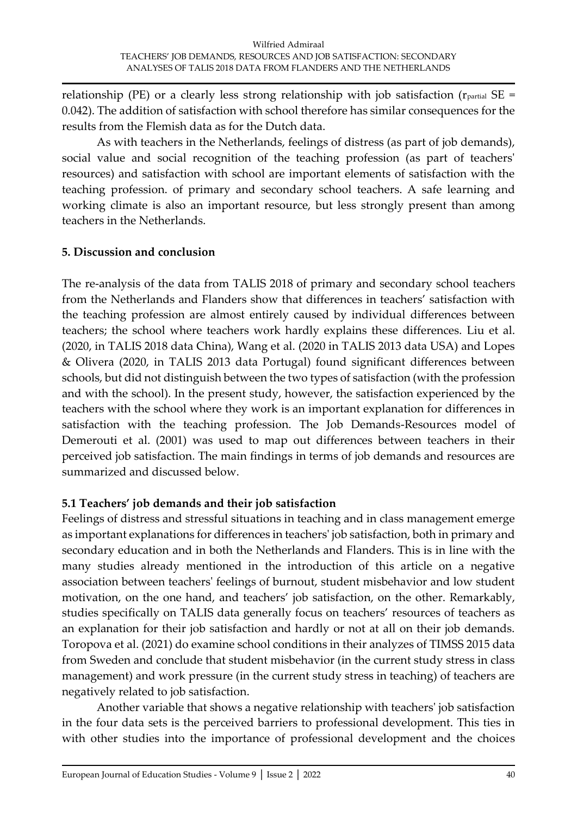relationship (PE) or a clearly less strong relationship with job satisfaction ( $r_{\text{partial}}$  SE = 0.042). The addition of satisfaction with school therefore has similar consequences for the results from the Flemish data as for the Dutch data.

As with teachers in the Netherlands, feelings of distress (as part of job demands), social value and social recognition of the teaching profession (as part of teachers' resources) and satisfaction with school are important elements of satisfaction with the teaching profession. of primary and secondary school teachers. A safe learning and working climate is also an important resource, but less strongly present than among teachers in the Netherlands.

### **5. Discussion and conclusion**

The re-analysis of the data from TALIS 2018 of primary and secondary school teachers from the Netherlands and Flanders show that differences in teachers' satisfaction with the teaching profession are almost entirely caused by individual differences between teachers; the school where teachers work hardly explains these differences. Liu et al. (2020, in TALIS 2018 data China), Wang et al. (2020 in TALIS 2013 data USA) and Lopes & Olivera (2020, in TALIS 2013 data Portugal) found significant differences between schools, but did not distinguish between the two types of satisfaction (with the profession and with the school). In the present study, however, the satisfaction experienced by the teachers with the school where they work is an important explanation for differences in satisfaction with the teaching profession. The Job Demands-Resources model of Demerouti et al. (2001) was used to map out differences between teachers in their perceived job satisfaction. The main findings in terms of job demands and resources are summarized and discussed below.

### **5.1 Teachers' job demands and their job satisfaction**

Feelings of distress and stressful situations in teaching and in class management emerge as important explanations for differences in teachers' job satisfaction, both in primary and secondary education and in both the Netherlands and Flanders. This is in line with the many studies already mentioned in the introduction of this article on a negative association between teachers' feelings of burnout, student misbehavior and low student motivation, on the one hand, and teachers' job satisfaction, on the other. Remarkably, studies specifically on TALIS data generally focus on teachers' resources of teachers as an explanation for their job satisfaction and hardly or not at all on their job demands. Toropova et al. (2021) do examine school conditions in their analyzes of TIMSS 2015 data from Sweden and conclude that student misbehavior (in the current study stress in class management) and work pressure (in the current study stress in teaching) of teachers are negatively related to job satisfaction.

Another variable that shows a negative relationship with teachers' job satisfaction in the four data sets is the perceived barriers to professional development. This ties in with other studies into the importance of professional development and the choices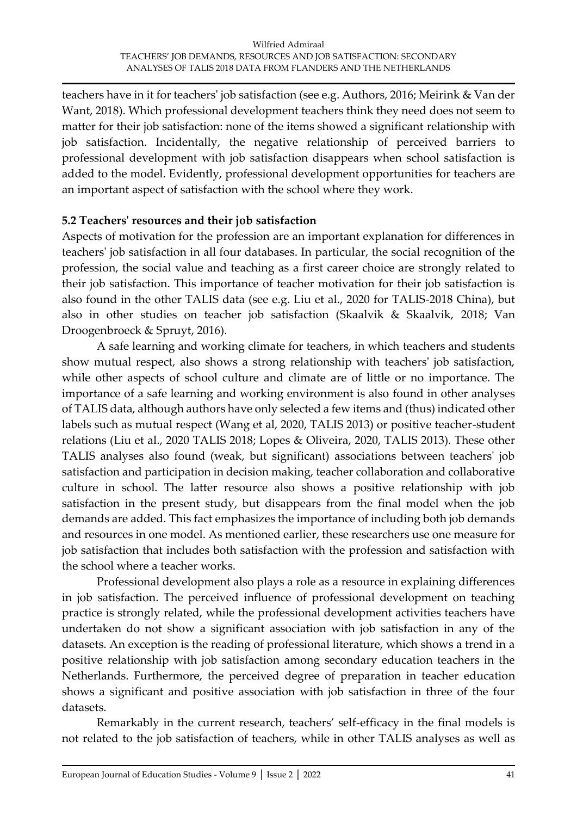teachers have in it for teachers' job satisfaction (see e.g. Authors, 2016; Meirink & Van der Want, 2018). Which professional development teachers think they need does not seem to matter for their job satisfaction: none of the items showed a significant relationship with job satisfaction. Incidentally, the negative relationship of perceived barriers to professional development with job satisfaction disappears when school satisfaction is added to the model. Evidently, professional development opportunities for teachers are an important aspect of satisfaction with the school where they work.

### **5.2 Teachers' resources and their job satisfaction**

Aspects of motivation for the profession are an important explanation for differences in teachers' job satisfaction in all four databases. In particular, the social recognition of the profession, the social value and teaching as a first career choice are strongly related to their job satisfaction. This importance of teacher motivation for their job satisfaction is also found in the other TALIS data (see e.g. Liu et al., 2020 for TALIS-2018 China), but also in other studies on teacher job satisfaction (Skaalvik & Skaalvik, 2018; Van Droogenbroeck & Spruyt, 2016).

A safe learning and working climate for teachers, in which teachers and students show mutual respect, also shows a strong relationship with teachers' job satisfaction, while other aspects of school culture and climate are of little or no importance. The importance of a safe learning and working environment is also found in other analyses of TALIS data, although authors have only selected a few items and (thus) indicated other labels such as mutual respect (Wang et al, 2020, TALIS 2013) or positive teacher-student relations (Liu et al., 2020 TALIS 2018; Lopes & Oliveira, 2020, TALIS 2013). These other TALIS analyses also found (weak, but significant) associations between teachers' job satisfaction and participation in decision making, teacher collaboration and collaborative culture in school. The latter resource also shows a positive relationship with job satisfaction in the present study, but disappears from the final model when the job demands are added. This fact emphasizes the importance of including both job demands and resources in one model. As mentioned earlier, these researchers use one measure for job satisfaction that includes both satisfaction with the profession and satisfaction with the school where a teacher works.

Professional development also plays a role as a resource in explaining differences in job satisfaction. The perceived influence of professional development on teaching practice is strongly related, while the professional development activities teachers have undertaken do not show a significant association with job satisfaction in any of the datasets. An exception is the reading of professional literature, which shows a trend in a positive relationship with job satisfaction among secondary education teachers in the Netherlands. Furthermore, the perceived degree of preparation in teacher education shows a significant and positive association with job satisfaction in three of the four datasets.

Remarkably in the current research, teachers' self-efficacy in the final models is not related to the job satisfaction of teachers, while in other TALIS analyses as well as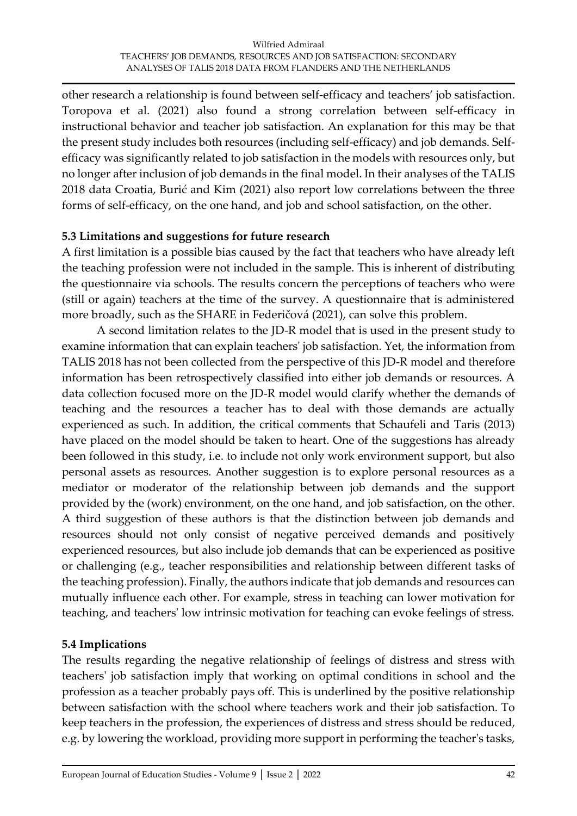other research a relationship is found between self-efficacy and teachers' job satisfaction. Toropova et al. (2021) also found a strong correlation between self-efficacy in instructional behavior and teacher job satisfaction. An explanation for this may be that the present study includes both resources (including self-efficacy) and job demands. Selfefficacy was significantly related to job satisfaction in the models with resources only, but no longer after inclusion of job demands in the final model. In their analyses of the TALIS 2018 data Croatia, Burić and Kim (2021) also report low correlations between the three forms of self-efficacy, on the one hand, and job and school satisfaction, on the other.

### **5.3 Limitations and suggestions for future research**

A first limitation is a possible bias caused by the fact that teachers who have already left the teaching profession were not included in the sample. This is inherent of distributing the questionnaire via schools. The results concern the perceptions of teachers who were (still or again) teachers at the time of the survey. A questionnaire that is administered more broadly, such as the SHARE in Federičová (2021), can solve this problem.

A second limitation relates to the JD-R model that is used in the present study to examine information that can explain teachers' job satisfaction. Yet, the information from TALIS 2018 has not been collected from the perspective of this JD-R model and therefore information has been retrospectively classified into either job demands or resources. A data collection focused more on the JD-R model would clarify whether the demands of teaching and the resources a teacher has to deal with those demands are actually experienced as such. In addition, the critical comments that Schaufeli and Taris (2013) have placed on the model should be taken to heart. One of the suggestions has already been followed in this study, i.e. to include not only work environment support, but also personal assets as resources. Another suggestion is to explore personal resources as a mediator or moderator of the relationship between job demands and the support provided by the (work) environment, on the one hand, and job satisfaction, on the other. A third suggestion of these authors is that the distinction between job demands and resources should not only consist of negative perceived demands and positively experienced resources, but also include job demands that can be experienced as positive or challenging (e.g., teacher responsibilities and relationship between different tasks of the teaching profession). Finally, the authors indicate that job demands and resources can mutually influence each other. For example, stress in teaching can lower motivation for teaching, and teachers' low intrinsic motivation for teaching can evoke feelings of stress.

### **5.4 Implications**

The results regarding the negative relationship of feelings of distress and stress with teachers' job satisfaction imply that working on optimal conditions in school and the profession as a teacher probably pays off. This is underlined by the positive relationship between satisfaction with the school where teachers work and their job satisfaction. To keep teachers in the profession, the experiences of distress and stress should be reduced, e.g. by lowering the workload, providing more support in performing the teacher's tasks,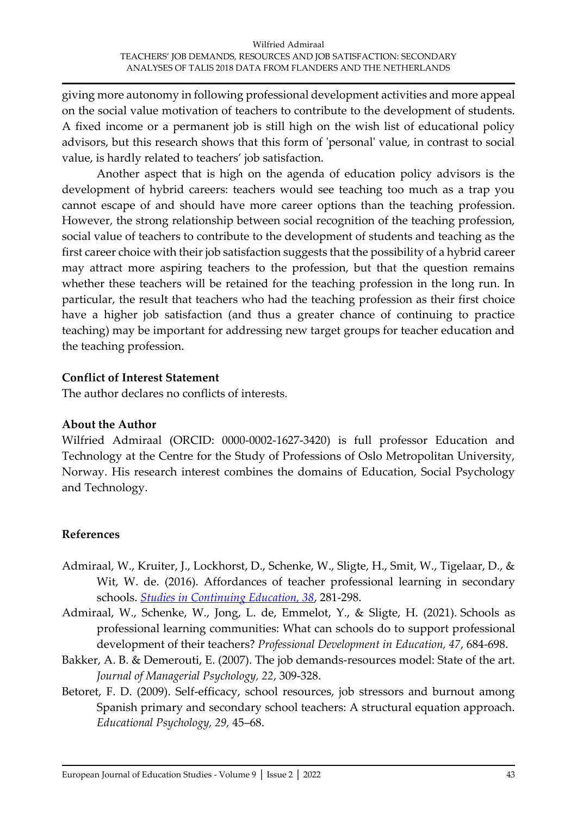giving more autonomy in following professional development activities and more appeal on the social value motivation of teachers to contribute to the development of students. A fixed income or a permanent job is still high on the wish list of educational policy advisors, but this research shows that this form of 'personal' value, in contrast to social value, is hardly related to teachers' job satisfaction.

Another aspect that is high on the agenda of education policy advisors is the development of hybrid careers: teachers would see teaching too much as a trap you cannot escape of and should have more career options than the teaching profession. However, the strong relationship between social recognition of the teaching profession, social value of teachers to contribute to the development of students and teaching as the first career choice with their job satisfaction suggests that the possibility of a hybrid career may attract more aspiring teachers to the profession, but that the question remains whether these teachers will be retained for the teaching profession in the long run. In particular, the result that teachers who had the teaching profession as their first choice have a higher job satisfaction (and thus a greater chance of continuing to practice teaching) may be important for addressing new target groups for teacher education and the teaching profession.

#### **Conflict of Interest Statement**

The author declares no conflicts of interests.

#### **About the Author**

Wilfried Admiraal (ORCID: 0000-0002-1627-3420) is full professor Education and Technology at the Centre for the Study of Professions of Oslo Metropolitan University, Norway. His research interest combines the domains of Education, Social Psychology and Technology.

### **References**

- Admiraal, W., Kruiter, J., Lockhorst, D., Schenke, W., Sligte, H., Smit, W., Tigelaar, D., & Wit, W. de. (2016). Affordances of teacher professional learning in secondary schools. *[Studies in Continuing Education, 38](http://www.tandfonline.com/toc/csce20/38/3)*, 281-298.
- Admiraal, W., Schenke, W., Jong, L. de, Emmelot, Y., & Sligte, H. (2021). Schools as professional learning communities: What can schools do to support professional development of their teachers? *Professional Development in Education, 47*, 684-698.
- Bakker, A. B. & Demerouti, E. (2007). The job demands-resources model: State of the art. *Journal of Managerial Psychology, 22*, 309-328.
- Betoret, F. D. (2009). Self-efficacy, school resources, job stressors and burnout among Spanish primary and secondary school teachers: A structural equation approach. *Educational Psychology, 29,* 45–68.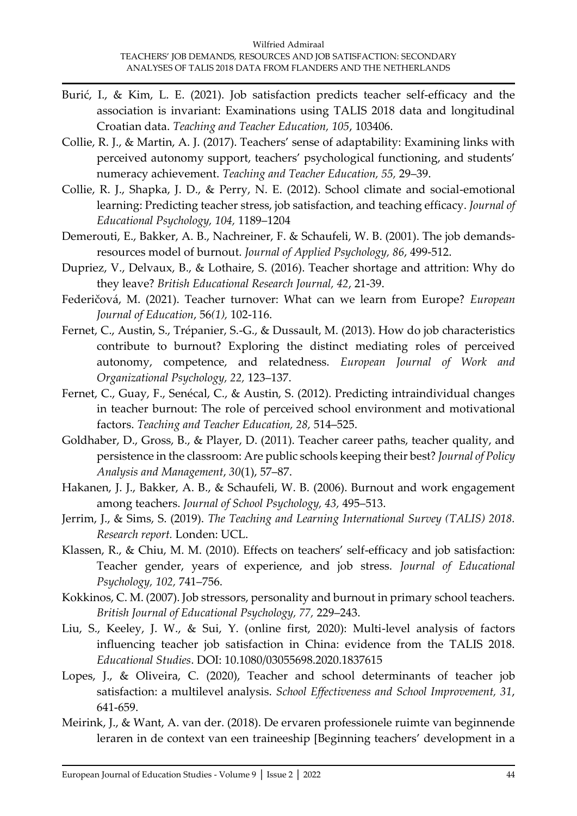- Burić, I., & Kim, L. E. (2021). Job satisfaction predicts teacher self-efficacy and the association is invariant: Examinations using TALIS 2018 data and longitudinal Croatian data. *Teaching and Teacher Education, 105*, 103406.
- Collie, R. J., & Martin, A. J. (2017). Teachers' sense of adaptability: Examining links with perceived autonomy support, teachers' psychological functioning, and students' numeracy achievement. *Teaching and Teacher Education, 55,* 29–39.
- Collie, R. J., Shapka, J. D., & Perry, N. E. (2012). School climate and social-emotional learning: Predicting teacher stress, job satisfaction, and teaching efficacy. *Journal of Educational Psychology, 104,* 1189–1204
- Demerouti, E., Bakker, A. B., Nachreiner, F. & Schaufeli, W. B. (2001). The job demandsresources model of burnout. *Journal of Applied Psychology, 86*, 499-512.
- Dupriez, V., Delvaux, B., & Lothaire, S. (2016). Teacher shortage and attrition: Why do they leave? *British Educational Research Journal, 42*, 21-39.
- Federičová, M. (2021). Teacher turnover: What can we learn from Europe? *European Journal of Education*, 56*(1),* 102-116.
- Fernet, C., Austin, S., Trépanier, S.-G., & Dussault, M. (2013). How do job characteristics contribute to burnout? Exploring the distinct mediating roles of perceived autonomy, competence, and relatedness. *European Journal of Work and Organizational Psychology, 22,* 123–137.
- Fernet, C., Guay, F., Senécal, C., & Austin, S. (2012). Predicting intraindividual changes in teacher burnout: The role of perceived school environment and motivational factors. *Teaching and Teacher Education, 28,* 514–525.
- Goldhaber, D., Gross, B., & Player, D. (2011). Teacher career paths, teacher quality, and persistence in the classroom: Are public schools keeping their best? *Journal of Policy Analysis and Management*, *30*(1), 57–87.
- Hakanen, J. J., Bakker, A. B., & Schaufeli, W. B. (2006). Burnout and work engagement among teachers. *Journal of School Psychology, 43,* 495–513.
- Jerrim, J., & Sims, S. (2019). *The Teaching and Learning International Survey (TALIS) 2018. Research report.* Londen: UCL.
- Klassen, R., & Chiu, M. M. (2010). Effects on teachers' self-efficacy and job satisfaction: Teacher gender, years of experience, and job stress. *Journal of Educational Psychology, 102,* 741–756.
- Kokkinos, C. M. (2007). Job stressors, personality and burnout in primary school teachers. *British Journal of Educational Psychology, 77,* 229–243.
- Liu, S., Keeley, J. W., & Sui, Y. (online first, 2020): Multi-level analysis of factors influencing teacher job satisfaction in China: evidence from the TALIS 2018. *Educational Studies*. DOI: 10.1080/03055698.2020.1837615
- Lopes, J., & Oliveira, C. (2020), Teacher and school determinants of teacher job satisfaction: a multilevel analysis. *School Effectiveness and School Improvement, 31*, 641-659.
- Meirink, J., & Want, A. van der. (2018). De ervaren professionele ruimte van beginnende leraren in de context van een traineeship [Beginning teachers' development in a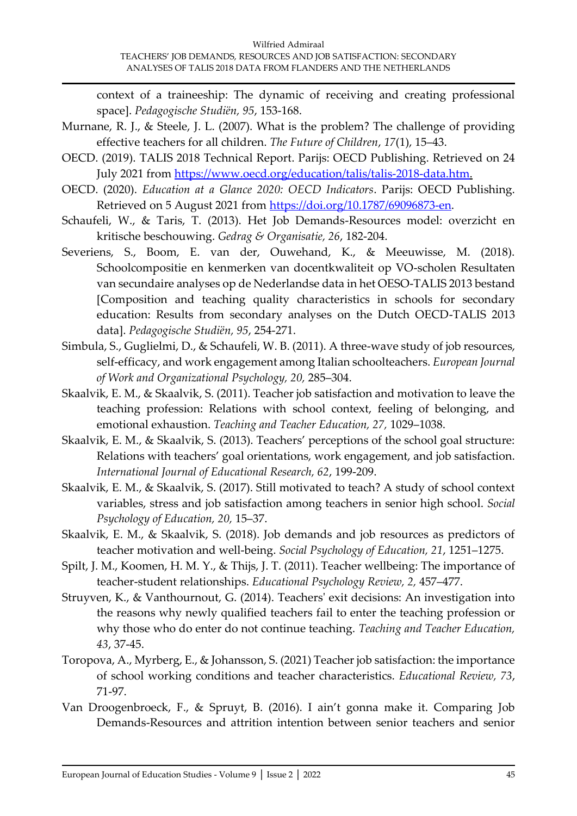context of a traineeship: The dynamic of receiving and creating professional space]. *Pedagogische Studiën, 95*, 153-168.

- Murnane, R. J., & Steele, J. L. (2007). What is the problem? The challenge of providing effective teachers for all children. *The Future of Children*, *17*(1), 15–43.
- OECD. (2019). TALIS 2018 Technical Report. Parijs: OECD Publishing. Retrieved on 24 July 2021 from [https://www.oecd.org/education/talis/talis-2018-data.htm.](https://www.oecd.org/education/talis/talis-2018-data.htm)
- OECD. (2020). *Education at a Glance 2020: OECD Indicators*. Parijs: OECD Publishing. Retrieved on 5 August 2021 from [https://doi.org/10.1787/69096873-en.](https://doi.org/10.1787/69096873-en)
- Schaufeli, W., & Taris, T. (2013). Het Job Demands-Resources model: overzicht en kritische beschouwing. *Gedrag & Organisatie, 26*, 182-204.
- Severiens, S., Boom, E. van der, Ouwehand, K., & Meeuwisse, M. (2018). Schoolcompositie en kenmerken van docentkwaliteit op VO-scholen Resultaten van secundaire analyses op de Nederlandse data in het OESO-TALIS 2013 bestand [Composition and teaching quality characteristics in schools for secondary education: Results from secondary analyses on the Dutch OECD-TALIS 2013 data]. *Pedagogische Studiën, 95*, 254-271.
- Simbula, S., Guglielmi, D., & Schaufeli, W. B. (2011). A three-wave study of job resources, self-efficacy, and work engagement among Italian schoolteachers. *European Journal of Work and Organizational Psychology, 20,* 285–304.
- Skaalvik, E. M., & Skaalvik, S. (2011). Teacher job satisfaction and motivation to leave the teaching profession: Relations with school context, feeling of belonging, and emotional exhaustion. *Teaching and Teacher Education, 27,* 1029–1038.
- Skaalvik, E. M., & Skaalvik, S. (2013). Teachers' perceptions of the school goal structure: Relations with teachers' goal orientations, work engagement, and job satisfaction. *International Journal of Educational Research, 62*, 199-209.
- Skaalvik, E. M., & Skaalvik, S. (2017). Still motivated to teach? A study of school context variables, stress and job satisfaction among teachers in senior high school. *Social Psychology of Education, 20,* 15–37.
- Skaalvik, E. M., & Skaalvik, S. (2018). Job demands and job resources as predictors of teacher motivation and well‑being. *Social Psychology of Education, 21*, 1251–1275.
- Spilt, J. M., Koomen, H. M. Y., & Thijs, J. T. (2011). Teacher wellbeing: The importance of teacher-student relationships. *Educational Psychology Review, 2,* 457–477.
- Struyven, K., & Vanthournout, G. (2014). Teachers' exit decisions: An investigation into the reasons why newly qualified teachers fail to enter the teaching profession or why those who do enter do not continue teaching. *Teaching and Teacher Education, 43*, 37-45.
- Toropova, A., Myrberg, E., & Johansson, S. (2021) Teacher job satisfaction: the importance of school working conditions and teacher characteristics. *Educational Review, 73*, 71-97.
- Van Droogenbroeck, F., & Spruyt, B. (2016). I ain't gonna make it. Comparing Job Demands-Resources and attrition intention between senior teachers and senior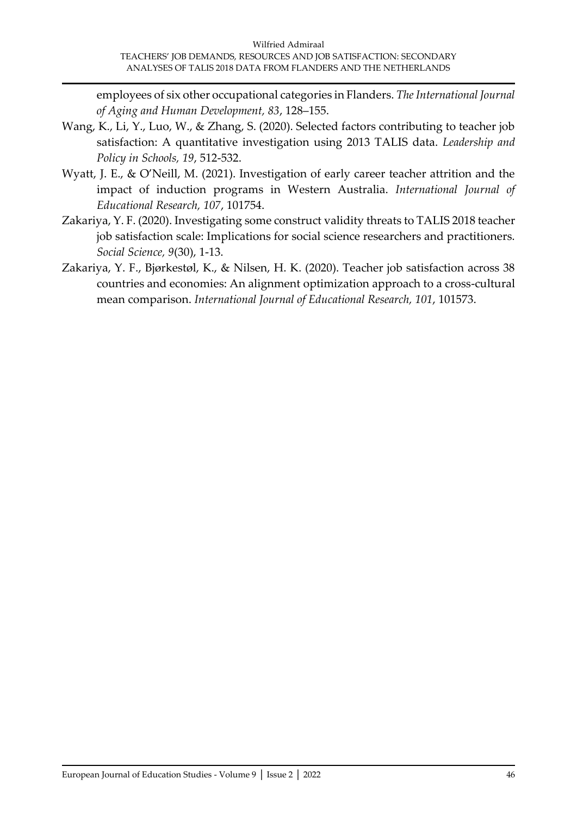employees of six other occupational categories in Flanders. *The International Journal of Aging and Human Development, 83*, 128–155.

- Wang, K., Li, Y., Luo, W., & Zhang, S. (2020). Selected factors contributing to teacher job satisfaction: A quantitative investigation using 2013 TALIS data. *Leadership and Policy in Schools, 19*, 512-532.
- Wyatt, J. E., & O'Neill, M. (2021). Investigation of early career teacher attrition and the impact of induction programs in Western Australia. *International Journal of Educational Research, 107*, 101754.
- Zakariya, Y. F. (2020). Investigating some construct validity threats to TALIS 2018 teacher job satisfaction scale: Implications for social science researchers and practitioners. *Social Science, 9*(30), 1-13.
- Zakariya, Y. F., Bjørkestøl, K., & Nilsen, H. K. (2020). Teacher job satisfaction across 38 countries and economies: An alignment optimization approach to a cross-cultural mean comparison. *International Journal of Educational Research, 101*, 101573.